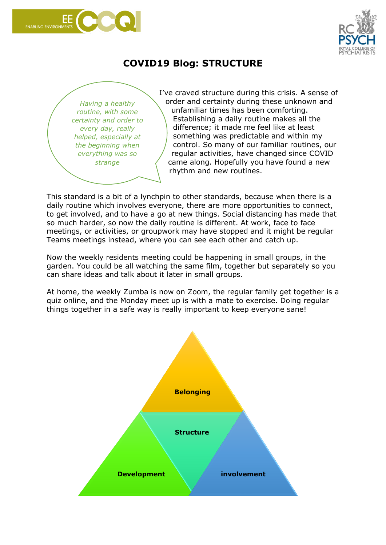



## **COVID19 Blog: STRUCTURE**

*Having a healthy routine, with some certainty and order to every day, really helped, especially at the beginning when everything was so strange*

I've craved structure during this crisis. A sense of order and certainty during these unknown and unfamiliar times has been comforting. Establishing a daily routine makes all the difference; it made me feel like at least something was predictable and within my control. So many of our familiar routines, our regular activities, have changed since COVID came along. Hopefully you have found a new rhythm and new routines.

This standard is a bit of a lynchpin to other standards, because when there is a daily routine which involves everyone, there are more opportunities to connect, to get involved, and to have a go at new things. Social distancing has made that so much harder, so now the daily routine is different. At work, face to face meetings, or activities, or groupwork may have stopped and it might be regular Teams meetings instead, where you can see each other and catch up.

Now the weekly residents meeting could be happening in small groups, in the garden. You could be all watching the same film, together but separately so you can share ideas and talk about it later in small groups.

At home, the weekly Zumba is now on Zoom, the regular family get together is a quiz online, and the Monday meet up is with a mate to exercise. Doing regular things together in a safe way is really important to keep everyone sane!

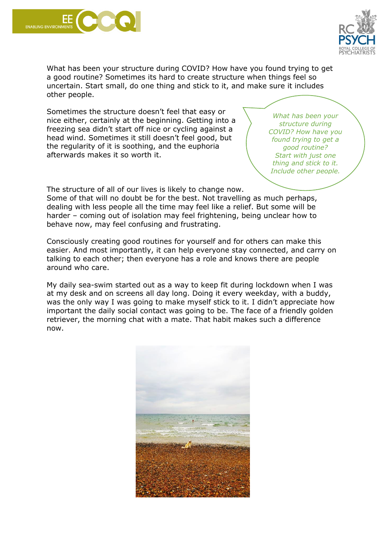



What has been your structure during COVID? How have you found trying to get a good routine? Sometimes its hard to create structure when things feel so uncertain. Start small, do one thing and stick to it, and make sure it includes other people.

Sometimes the structure doesn't feel that easy or nice either, certainly at the beginning. Getting into a freezing sea didn't start off nice or cycling against a head wind. Sometimes it still doesn't feel good, but the regularity of it is soothing, and the euphoria afterwards makes it so worth it.

*What has been your structure during COVID? How have you found trying to get a good routine? Start with just one thing and stick to it. Include other people.*

The structure of all of our lives is likely to change now.

Some of that will no doubt be for the best. Not travelling as much perhaps, dealing with less people all the time may feel like a relief. But some will be harder – coming out of isolation may feel frightening, being unclear how to behave now, may feel confusing and frustrating.

Consciously creating good routines for yourself and for others can make this easier. And most importantly, it can help everyone stay connected, and carry on talking to each other; then everyone has a role and knows there are people around who care.

My daily sea-swim started out as a way to keep fit during lockdown when I was at my desk and on screens all day long. Doing it every weekday, with a buddy, was the only way I was going to make myself stick to it. I didn't appreciate how important the daily social contact was going to be. The face of a friendly golden retriever, the morning chat with a mate. That habit makes such a difference now.